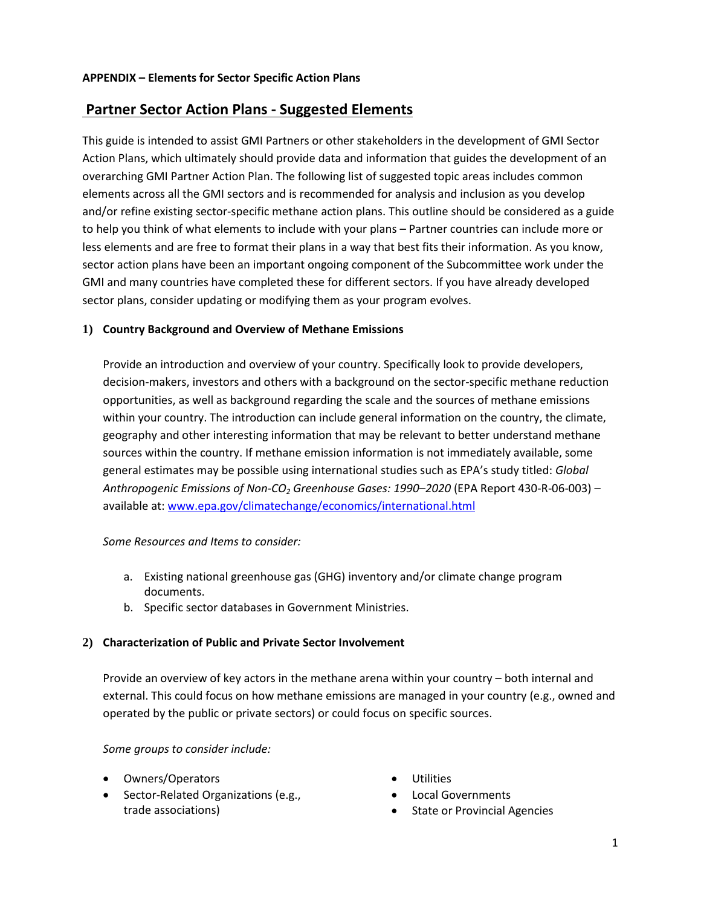# **Partner Sector Action Plans - Suggested Elements**

This guide is intended to assist GMI Partners or other stakeholders in the development of GMI Sector Action Plans, which ultimately should provide data and information that guides the development of an overarching GMI Partner Action Plan. The following list of suggested topic areas includes common elements across all the GMI sectors and is recommended for analysis and inclusion as you develop and/or refine existing sector-specific methane action plans. This outline should be considered as a guide to help you think of what elements to include with your plans – Partner countries can include more or less elements and are free to format their plans in a way that best fits their information. As you know, sector action plans have been an important ongoing component of the Subcommittee work under the GMI and many countries have completed these for different sectors. If you have already developed sector plans, consider updating or modifying them as your program evolves.

#### **1) Country Background and Overview of Methane Emissions**

Provide an introduction and overview of your country. Specifically look to provide developers, decision-makers, investors and others with a background on the sector-specific methane reduction opportunities, as well as background regarding the scale and the sources of methane emissions within your country. The introduction can include general information on the country, the climate, geography and other interesting information that may be relevant to better understand methane sources within the country. If methane emission information is not immediately available, some general estimates may be possible using international studies such as EPA's study titled: *Global Anthropogenic Emissions of Non-CO2 Greenhouse Gases: 1990–2020* (EPA Report 430-R-06-003) – available at[: www.epa.gov/climatechange/economics/international.html](http://www.epa.gov/climatechange/economics/international.html)

#### *Some Resources and Items to consider:*

- a. Existing national greenhouse gas (GHG) inventory and/or climate change program documents.
- b. Specific sector databases in Government Ministries.

#### **2) Characterization of Public and Private Sector Involvement**

Provide an overview of key actors in the methane arena within your country – both internal and external. This could focus on how methane emissions are managed in your country (e.g., owned and operated by the public or private sectors) or could focus on specific sources.

#### *Some groups to consider include:*

- Owners/Operators
- Sector-Related Organizations (e.g., trade associations)
- Utilities
- Local Governments
- State or Provincial Agencies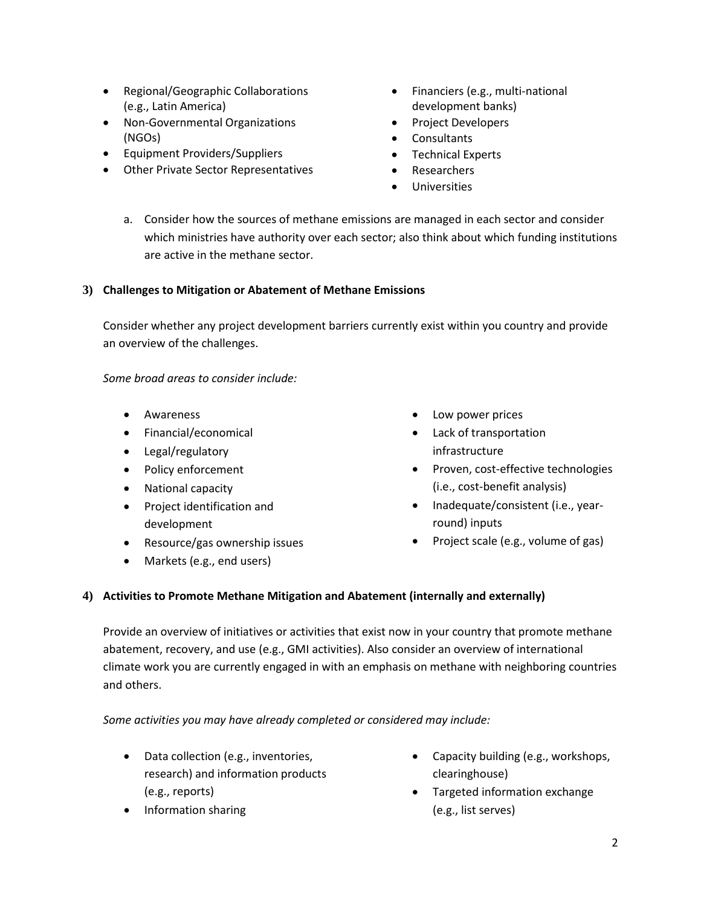- Regional/Geographic Collaborations (e.g., Latin America)
- Non-Governmental Organizations (NGOs)
- Equipment Providers/Suppliers
- Other Private Sector Representatives
- Financiers (e.g., multi-national development banks)
- Project Developers
- Consultants
- Technical Experts
- Researchers
- **Universities**
- a. Consider how the sources of methane emissions are managed in each sector and consider which ministries have authority over each sector; also think about which funding institutions are active in the methane sector.

### **3) Challenges to Mitigation or Abatement of Methane Emissions**

Consider whether any project development barriers currently exist within you country and provide an overview of the challenges.

*Some broad areas to consider include:* 

- Awareness
- Financial/economical
- Legal/regulatory
- Policy enforcement
- National capacity
- Project identification and development
- Resource/gas ownership issues
- Markets (e.g., end users)
- Low power prices
- Lack of transportation infrastructure
- Proven, cost-effective technologies (i.e., cost-benefit analysis)
- Inadequate/consistent (i.e., yearround) inputs
- Project scale (e.g., volume of gas)

### **4) Activities to Promote Methane Mitigation and Abatement (internally and externally)**

Provide an overview of initiatives or activities that exist now in your country that promote methane abatement, recovery, and use (e.g., GMI activities). Also consider an overview of international climate work you are currently engaged in with an emphasis on methane with neighboring countries and others.

*Some activities you may have already completed or considered may include:*

- Data collection (e.g., inventories, research) and information products (e.g., reports)
- Information sharing
- Capacity building (e.g., workshops, clearinghouse)
- Targeted information exchange (e.g., list serves)